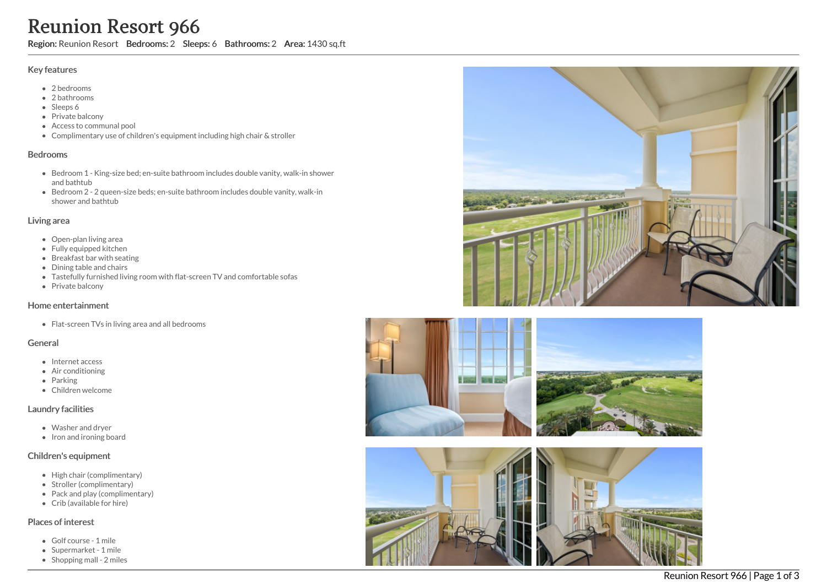# Reunion Resort 966

Region: Reunion Resort Bedrooms: 2 Sleeps: 6 Bathrooms: 2 Area: 1430 sq.ft

#### Key features

- 2 bedrooms
- 2 bathrooms
- Sleeps 6
- Private balcony
- Access to communal pool
- Complimentary use of children's equipment including high chair & stroller

#### Bedrooms

- **Bedroom 1 King-size bed; en-suite bathroom includes double vanity, walk-in shower** and bathtub
- Bedroom 2 2 queen-size beds; en-suite bathroom includes double vanity, walk-in shower and bathtub

## Living area

- Open-plan living area
- Fully equipped kitchen
- Breakfast bar with seating
- Dining table and chairs
- Tastefully furnished living room with flat-screen TV and comfortable sofas
- Private balcony

### Home entertainment

• Flat-screen TVs in living area and all bedrooms

# General

- Internet access
- Air conditioning
- Parking
- Children welcome

### Laundry facilities

- Washer and dryer
- Iron and ironing board

### Children's equipment

- High chair (complimentary)
- Stroller (complimentary)
- Pack and play (complimentary)
- Crib (available for hire)

## Places of interest

- Golf course 1 mile
- Supermarket 1 mile
- $\bullet$  Shopping mall 2 miles





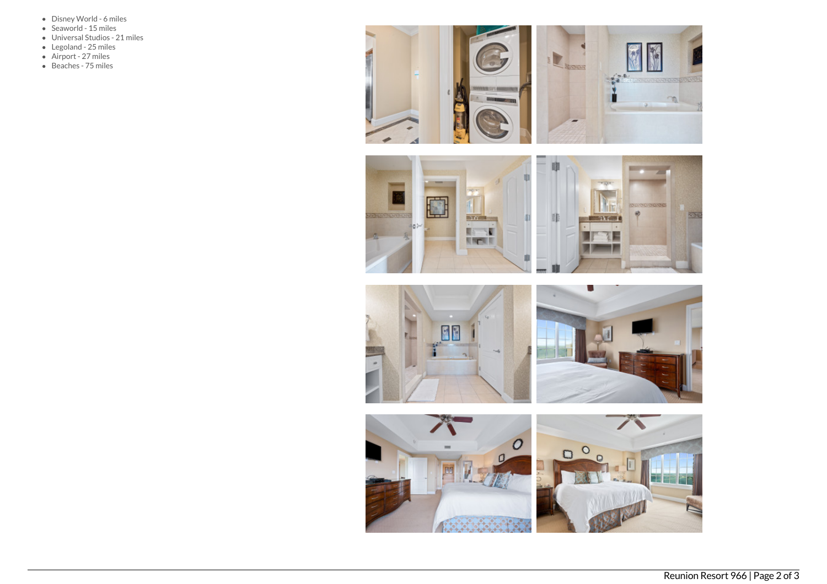- Disney World 6 miles
- Seaworld 15 miles
- Universal Studios 21 miles
- Legoland 25 miles
- Airport 27 miles
- Beaches 75 miles